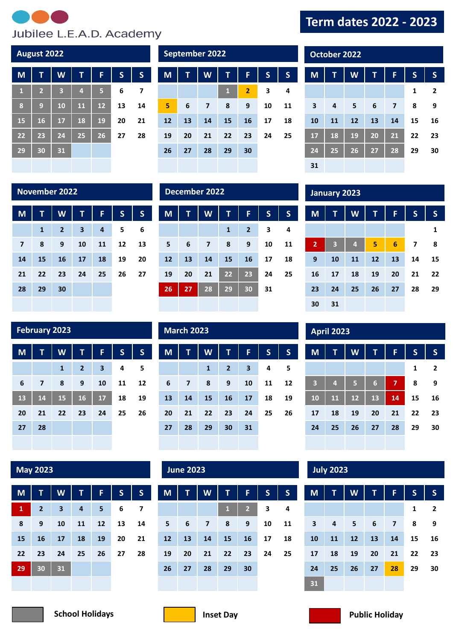

**M T W T F S S**

 **2 3 4 5 6 7 9 10 11 12 13 14 16 17 18 19 20 21 23 24 25 26 27 28**

**August 2022 COLLEGE 2022 COLLEGE 2022** 

## **Term dates 2022 - 2023**

| <b>October 2022</b> |    |    |                 |                         |    |                |  |  |  |
|---------------------|----|----|-----------------|-------------------------|----|----------------|--|--|--|
| M                   | T  | W  | T               | F                       | S  | S              |  |  |  |
|                     |    |    |                 |                         | 1  | $\overline{2}$ |  |  |  |
| 3                   | 4  | 5  | 6               | $\overline{\mathbf{z}}$ | 8  | 9              |  |  |  |
| 10                  | 11 | 12 | 13              | 14                      | 15 | 16             |  |  |  |
| 17                  | 18 | 19 | 20              | 21                      | 22 | 23             |  |  |  |
| 24                  | 25 | 26 | $\overline{27}$ | 28                      | 29 | 30             |  |  |  |
| 31                  |    |    |                 |                         |    |                |  |  |  |

**M T W T F S S**

 **3 4 5 6 7 8 10 11 12 13 14 15 17 18 19 20 21 22 24 25 26 27 28 29**

### **November 2022 December 2022 January 2023**

**30 31**

| M              | Ú            | W              | т                       | F  | $\overline{\mathsf{S}}$ | S  |
|----------------|--------------|----------------|-------------------------|----|-------------------------|----|
|                | $\mathbf{1}$ | $\overline{2}$ | $\overline{\mathbf{3}}$ | 4  | 5                       | 6  |
| $\overline{7}$ | 8            | 9              | 10                      | 11 | 12                      | 13 |
| 14             | 15           | 16             | 17                      | 18 | 19                      | 20 |
| 21             | 22           | 23             | 24                      | 25 | 26                      | 27 |
| 28             | 29           | 30             |                         |    |                         |    |
|                |              |                |                         |    |                         |    |

**27 28 29 30**

| M  | T  | W                       | T            | F              | $\mathsf{S}$ | $\mathsf{s}$ |
|----|----|-------------------------|--------------|----------------|--------------|--------------|
|    |    |                         | $\mathbf{1}$ | $\overline{2}$ | 3            | 4            |
| 5  | 6  | $\overline{\mathbf{z}}$ | 8            | 9              | 10           | 11           |
| 12 | 13 | 14                      | 15           | 16             | 17           | 18           |
| 19 | 20 | 21                      | 22           | 23             | 24           | 25           |
| 26 | 27 | 28                      | 29           | 30             | 31           |              |
|    |    |                         |              |                |              |              |

**M T W T F S S**

 **6 7 8 9 10 11 13 14 15 16 17 18 20 21 22 23 24 25**

**2 3 4**

| <b>March 2023</b> |                |              |              |    |              |    |  |  |  |  |  |
|-------------------|----------------|--------------|--------------|----|--------------|----|--|--|--|--|--|
|                   |                |              |              |    |              |    |  |  |  |  |  |
| M                 | T              | W            | T            | F  | $\mathsf{s}$ | S  |  |  |  |  |  |
|                   |                | $\mathbf{1}$ | $\mathbf{2}$ | 3  | 4            | 5  |  |  |  |  |  |
| $6\phantom{1}6$   | $\overline{7}$ | 8            | 9            | 10 | 11           | 12 |  |  |  |  |  |
| 13                | 14             | 15           | 16           | 17 | 18           | 19 |  |  |  |  |  |
| 20                | 21             | 22           | 23           | 24 | 25           | 26 |  |  |  |  |  |
| 27                | 28             | 29           | 30           | 31 |              |    |  |  |  |  |  |
|                   |                |              |              |    |              |    |  |  |  |  |  |

|                         | <b>April 2023</b> |    |    |                |                         |                |  |  |  |  |
|-------------------------|-------------------|----|----|----------------|-------------------------|----------------|--|--|--|--|
|                         |                   |    |    |                |                         |                |  |  |  |  |
| M                       | Τ                 | W  | T  | F              | $\overline{\mathsf{S}}$ | S              |  |  |  |  |
|                         |                   |    |    |                | 1                       | $\overline{2}$ |  |  |  |  |
| $\overline{\mathbf{3}}$ | $\overline{a}$    | 5  | 6  | $\overline{7}$ | 8                       | 9              |  |  |  |  |
| 10                      | 11                | 12 | 13 | 14             | 15                      | 16             |  |  |  |  |
| 17                      | 18                | 19 | 20 | 21             | 22                      | 23             |  |  |  |  |
| 24                      | 25                | 26 | 27 | 28             | 29                      | 30             |  |  |  |  |
|                         |                   |    |    |                |                         |                |  |  |  |  |

**February 2023** 

| M  |    | W            | Ū              | F                       | $S_{i}$ | S  |
|----|----|--------------|----------------|-------------------------|---------|----|
|    |    | $\mathbf{1}$ | $\overline{2}$ | $\overline{\mathbf{3}}$ | 4       | 5  |
| 6  | 7  | 8            | 9              | 10                      | 11      | 12 |
| 13 | 14 | 15           | 16             | 17                      | 18      | 19 |
| 20 | 21 | 22           | 23             | 24                      | 25      | 26 |
| 27 | 28 |              |                |                         |         |    |
|    |    |              |                |                         |         |    |

| M  | T              | W                       | T  | F  | $\mathsf{s}$ | S  |
|----|----------------|-------------------------|----|----|--------------|----|
| 1  | $\overline{2}$ | $\overline{\mathbf{3}}$ | 4  | 5  | 6            | 7  |
| 8  | 9              | 10                      | 11 | 12 | 13           | 14 |
| 15 | 16             | 17                      | 18 | 19 | 20           | 21 |
| 22 | 23             | 24                      | 25 | 26 | 27           | 28 |
| 29 | 30             | 31                      |    |    |              |    |
|    |                |                         |    |    |              |    |

**May 2023 June 2023 July 2023**

| M  | Ū  | W              | Т            | F              | $\mathsf{s}$ | S  |
|----|----|----------------|--------------|----------------|--------------|----|
|    |    |                | $\mathbf{1}$ | $\overline{2}$ | 3            | 4  |
| 5  | 6  | $\overline{7}$ | 8            | 9              | 10           | 11 |
| 12 | 13 | 14             | 15           | 16             | 17           | 18 |
| 19 | 20 | 21             | 22           | 23             | 24           | 25 |
| 26 | 27 | 28             | 29           | 30             |              |    |
|    |    |                |              |                |              |    |

**31**

| M                       | T  | W  | T  | F              | $\mathsf{s}$ | S              |
|-------------------------|----|----|----|----------------|--------------|----------------|
|                         |    |    |    |                | 1            | $\overline{2}$ |
| $\overline{\mathbf{3}}$ | 4  | 5  | 6  | $\overline{7}$ | 8            | 9              |
| 10                      | 11 | 12 | 13 | 14             | 15           | 16             |
| 17                      | 18 | 19 | 20 | 21             | 22           | 23             |
| 24                      | 25 | 26 | 27 | 28             | 29           | 30             |
| 31                      |    |    |    |                |              |                |